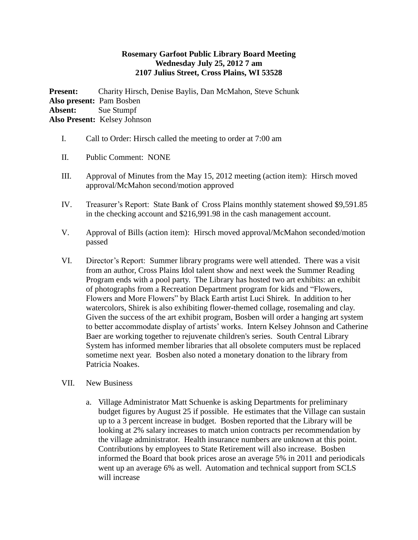## **Rosemary Garfoot Public Library Board Meeting Wednesday July 25, 2012 7 am 2107 Julius Street, Cross Plains, WI 53528**

**Present:** Charity Hirsch, Denise Baylis, Dan McMahon, Steve Schunk **Also present:** Pam Bosben **Absent:** Sue Stumpf **Also Present:** Kelsey Johnson

- I. Call to Order: Hirsch called the meeting to order at 7:00 am
- II. Public Comment: NONE
- III. Approval of Minutes from the May 15, 2012 meeting (action item): Hirsch moved approval/McMahon second/motion approved
- IV. Treasurer's Report: State Bank of Cross Plains monthly statement showed \$9,591.85 in the checking account and \$216,991.98 in the cash management account.
- V. Approval of Bills (action item): Hirsch moved approval/McMahon seconded/motion passed
- VI. Director's Report: Summer library programs were well attended. There was a visit from an author, Cross Plains Idol talent show and next week the Summer Reading Program ends with a pool party. The Library has hosted two art exhibits: an exhibit of photographs from a Recreation Department program for kids and "Flowers, Flowers and More Flowers" by Black Earth artist Luci Shirek. In addition to her watercolors, Shirek is also exhibiting flower-themed collage, rosemaling and clay. Given the success of the art exhibit program, Bosben will order a hanging art system to better accommodate display of artists' works. Intern Kelsey Johnson and Catherine Baer are working together to rejuvenate children's series. South Central Library System has informed member libraries that all obsolete computers must be replaced sometime next year. Bosben also noted a monetary donation to the library from Patricia Noakes.
- VII. New Business
	- a. Village Administrator Matt Schuenke is asking Departments for preliminary budget figures by August 25 if possible. He estimates that the Village can sustain up to a 3 percent increase in budget. Bosben reported that the Library will be looking at 2% salary increases to match union contracts per recommendation by the village administrator. Health insurance numbers are unknown at this point. Contributions by employees to State Retirement will also increase. Bosben informed the Board that book prices arose an average 5% in 2011 and periodicals went up an average 6% as well. Automation and technical support from SCLS will increase